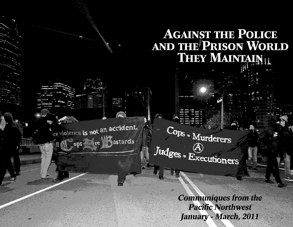# **AGAINST THE POLICE** AND THE PRISON WORLD THEY MAINTAINT

de violence is not an accident. ops re Kastards

Cops = Murderers Judges = Executioners

> **Communiques from the Pacific Northwest** January - March, 2011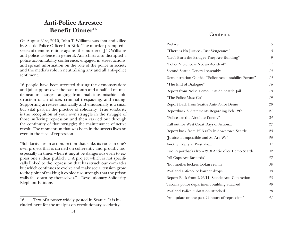### **Anti-Police Arrestee Benefit Dinner16**

On August 31st, 2010, John T. Williams was shot and killed by Seattle Police Officer Ian Birk. The murder prompted a series of demonstrations against the murder of J.T. Williams and police violence in general. Anarchists also disrupted a police accountability conference, engaged in street actions, and spread information on the role of the police in society and the media's role in neutralizing any and all anti-police sentiment.

16 people have been arrested during the demonstrations and jail support over the past month and a half all on misdemeanor charges ranging from malicious mischief, obstruction of an officer, criminal trespassing, and rioting. Supporting arrestees financially and emotionally is a small but vital part in the practice of solidarity. True solidarity is the recognition of your own struggle in the struggle of those suffering repression and then carried out through the continuity of that struggle; the maintenance of active revolt. The momentum that was born in the streets lives on even in the face of repression.

"Solidarity lies in action. Action that sinks its roots in one's own project that is carried on coherently and proudly too, especially in times when it might be dangerous even to express one's ideas publicly… A project which is not specifically linked to the repression that has struck our comrades but which continues to evolve and make social tension grow, to the point of making it explode so strongly that the prison walls fall down by themselves." - Revolutionary Solidarity, Elephant Editions

#### Contents

| Preface                                             | $\mathfrak{H}$ |
|-----------------------------------------------------|----------------|
| "There is No Justice - Just Vengeance"              | 8              |
| "Let's Burn the Bridges They Are Building"          | 9              |
| "Police Violence is Not an Accident"                | 11             |
| Second Seattle General Assembly                     | 15             |
| Demonstration Outside "Police Accountability Forum" | 15             |
| "The End of Dialogue"                               | 16             |
| Report from Noise Demo Outside Seattle Jail         | 18             |
| "The Police Must Go"                                | 19             |
| Report Back from Seattle Anti-Police Demo           | 20             |
| Reportback & Statements Regarding Feb 12th          | 21             |
| "Police are the Absolute Enemy"                     | 24             |
| Call out for West Coast Days of Action              | 27             |
| Report back from 2/16 rally in downtown Seattle     | 28             |
| "Justice is Impossible and So Are We"               | 30             |
| Another Rally at Westlake                           | 31             |
| Two Reportbacks from 2/18 Anti-Police Demo Seattle  | 32             |
| "All Cops Are Bastards"                             | 37             |
| "hot motherfuckers lookin real fly"                 | 38             |
| Portland anti-police banner drops                   | 38             |
| Report Back from 2/26/11: Seattle Anti-Cop Action   | 38             |
| Tacoma police department building attacked          | 40             |
| Portland Police Substation Attacked                 | 40             |
| "An update on the past 24 hours of repression"      | 41             |

<sup>16</sup> Text of a poster widely posted in Seattle. It is included here for the analysis on revolutionary solidarity.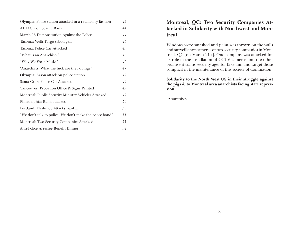| Olympia: Police station attacked in a retaliatory fashion | 43 |
|-----------------------------------------------------------|----|
| <b>ATTACK</b> on Seattle Bank                             | 44 |
| March 15 Demonstration Against the Police                 | 44 |
| Tacoma: Wells Fargo sabotage                              | 45 |
| Tacoma: Police Car Attacked                               | 45 |
| "What is an Anarchist?"                                   | 46 |
| "Why We Wear Masks"                                       | 47 |
| "Anarchists: What the fuck are they doing?"               | 47 |
| Olympia: Arson attack on police station                   | 49 |
| Santa Cruz: Police Car Attacked                           | 49 |
| Vancouver: Probation Office & Signs Painted               | 49 |
| Montreal: Public Security Ministry Vehicles Attacked      | 49 |
| Philadelphia: Bank attacked                               | 50 |
| Portland: Flashmob Attacks Bank                           | 50 |
| "We don't talk to police, We don't make the peace bond"   | 51 |
| Montreal: Two Security Companies Attacked                 | 53 |
| Anti-Police Arrestee Benefit Dinner                       | 54 |

### **Montreal, QC: Two Security Companies Attacked in Solidarity with Northwest and Montreal**

Windows were smashed and paint was thrown on the walls and surveillance cameras of two security companies in Montreal, QC [on March 21st]. One company was attacked for its role in the installation of CCTV cameras and the other because it trains security agents. Take aim and target those complicit in the maintenance of this society of domination.

#### **Solidarity to the North West US in their struggle against the pigs & to Montreal area anarchists facing state repression.**

-Anarchists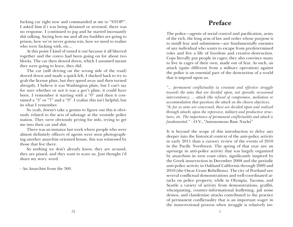fucking car right now and commanded at me to "STOP!". I asked him if i was being detained or arrested, there was no response. I continued to jog and he started incessantly shit talking. Saying how me and all my buddies are going to prison, how we're never gonna win, how we need to realize who were fucking with, etc...

At this point I kind of tuned it out because it all blurred together and the convo had been going on for about two blocks. The car then slowed down, which I assumed meant they were going to leave, they did.

The car (still driving on the wrong side of the road) slowed down and made a quick left, I ducked back to try to grab the license plate, but they speed away and then turned abruptly. I believe it was Washington plate, but I can't say for sure whether or not it was a gov't plate, it could have been. I remember it starting with a "0" and then it contained a "3" or "7" and a "9". I realize this isn't helpful, but its what I remember.

So yeah, doesn't take a genius to figure out this is obviously related to the acts of sabotage at the westside police station. They were obviously prying for info, trying to get me into their car and shit.

There was an instance last week where people who were almost definitely officers of agents were seen photographing another anarchist oriented house, this was witnessed by those that live there.

So nothing we don't already know, they are around, they are pissed, and they want to scare us. Just thought i'd share my story. word.

- An Anarchist from the 360.

## **Preface**

The police—agents of social control and pacification, army of the rich, the long arm of law and order whose purpose is to instill fear and submission—are fundamentally enemies of any individual who wants to escape from predetermined roles and live a life of freedom and creative-destruction. Cops literally put people in cages; they also convince many to live in cages of their own, made out of fear. As such, an attack (quite different from a military operation) against the police is an essential part of the destruction of a world that is imposd upon us.

*"... permanent conflictuality (a constant and effective struggle towards the aims that are decided upon, not sporadic occasional interventions); ... attack (the refusal of compromise, mediation or accommodation that questions the attack on the chosen objective). "As far as aims are concerned, these are decided upon and realized through attacks upon the repressive, military and productive structures, etc. The importance of permanent conflictuality and attack is fundamental."* - O.V., "Autonomous Base Nuclei"

It is beyond the scope of this introduction to delve any deeper into the historical context of the anti-police activity in early 2011 than a cursory review of the events of 2010 in the Pacific Northwest. The spring of that year saw an uprsurge in anti-police activity that was largely organized by anarchists in west coast cities, significantly inspired by the Greek insurrection in December 2008 and the periodic anti-police activity in Oakland California through 2009 and 2010 (the Oscar Grant Rebellions). The city of Portland saw several conflictual demonstrations and well-coordinated attacks on police property, while in Olympia, Tacoma, and Seattle a variety of activity from demonstrations, graffiti, wheatpasting, counter-informational leafletting, jail noise demos, and clandestine attacks contributed to the practice of permanent conflictuality that is an important wager in the insurrectional process when struggle is relatively iso-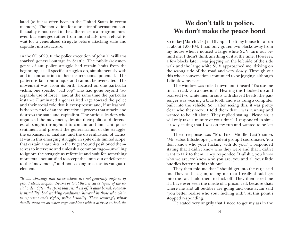lated (as it has often been in the United States in recent memory). The motivation for a practice of permanent conflictuality is not based in the adherence to a program, however, but emerges rather from individuals' own refusal to wait for a generalized struggle before attacking state and capitalist infrastructure.

In the fall of 2010, the police execution of John T. Williams sparked general outrage in Seattle. The public (re)emergence of anti-police struggle had certain limits from the beginning, as all specific struggles do, simultaneously with and in contradiction to their insurrectional potential. The pattern is far from unique and cannot be overstated. The movement was, from its birth, focused on one particular victim, one specific "bad cop" who had gone beyond "acceptable use of force," and at the same time the particular instance illuminated a generalized rage toward the police and their social role that is ever-present and, if unleashed, is the very fuel of an insurrectional process that attacks and destroys the state and capitalism. The various leaders who organized the movement, despite their political differences, all sought throughout to contain and limit anti-police sentiment and prevent the generalization of the struggle, the expansion of analysis, and the diversification of tactics. It was in this emerging struggle, in spite of its limited scope, that certain anarchists in the Puget Sound positioned themselves to intervene and unleash a common rage—unwilling to ignore the struggle as reformist and wait for something more total, not satisfied to accept the limits out of deference to the "movement," and not seeking to act as its vanguard element.

*"Riots, uprisings and insurrections are not generally inspired by grand ideas, utopian dreams or total theoretical critiques of the social order. Often the spark that sets them off is quite banal: economic instability, bad working conditions, betrayal by those who claim to represent one's rights, police brutality. These seemingly minor details spark revolt when rage combines with a distrust in both the* 

## **We don't talk to police, We don't make the peace bond**

So today [March 21st] in Olympia I left my house for a run at about 1:00 PM. I had only gotten two blocks away from my house when i noticed a large white SUV turn out behind me, I didn't think anything of it at the time. However, a few blocks later i was jogging on the left side of the side walk and the large white SUV approached me, driving on the wrong side of the road and very slowly. Through out this whole conversation i continued to be jogging, although I did slow my pace.

The window was rolled down and i heard "Excuse me sir, can i ask you a question". Hearing this I looked up and realized two white men in suits with shaved heads, the passenger was wearing a blue tooth and was using a computer built into the vehicle. So... after seeing this, it was pretty clear who they were. I told them that I was running and wanted to be left alone. They replied stating "Please sir, it will only take a minute of your time". I responded in similar way stating that I was on my run and wanted to be left alone.

Their response was "Mr. First Middle Last"(name), "Mr. Sabot Infoshoppe ( a student group I coordinate), You don't know who your fucking with do you." I responded stating that I didn't know who they were and that I didn't want to talk to them. They responded "Bullshit, you know who we are, we know who you are, you and all your little buddies better cut this shit out".

They then told me that I should get into the car, i said no. They said it again, telling me that I really should get into the car, I told them to fuck off. They then asked me if I have ever seen the inside of a prison cell, because thats where me and all buddies are going and once again said "you better realize who your fucking with". At this point i stopped responding.

He stated very angrily that I need to get my ass in the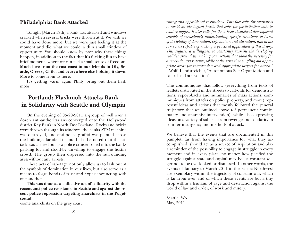#### **Philadelphia: Bank Attacked**

Tonight [March 18th] a bank was attacked and windows cracked when several bricks were thrown at it. We wish we could have done more, but we were just feeling it at the moment and did what we could with a small window of opportunity. You should know by now why these things happen, in addition to the fact that it's fucking fun to have brief moments where we can feel a small sense of freedom. **Much love from the east coast to our friends in Oly, Seattle, Greece, Chile, and everywhere else holding it down.** More to come from us here.

It's getting warm again Philly, bring out them flash mobs.

### **Portland: Flashmob Attacks Bank in Solidarity with Seattle and Olympia**

On the evening of 03-20-2011 a group of well over a dozen anti-authoritarians converged onto the Hollywood district Key Bank in North East Portland. Rocks and bricks were thrown through its windows, the banks ATM machine was destroyed, and anti-police graffiti was painted across the buildings facade. It should also be noted that this attack was carried out as a police cruiser rolled into the banks parking lot and stood-by unwilling to engage the hostile crowd. The group then dispersed into the surrounding area without any arrests.

These acts of sabotage not only allow us to lash out at the symbols of domination in our lives, but also serve as a means to forge bonds of trust and experience acting with one another.

**This was done as a collective act of solidarity with the recent anti-police resistance in Seattle and against the recent police repression targeting anarchists in the Pugetsound.**

-some anarchists on the grey coast

*ruling and oppositional institutions. This fact calls for anarchists to avoid an ideological purity that calls for participation only in total struggles. It also calls for the a keen theoretical development capable of immediately understanding specific situations in terms of the totality of domination, exploitation and alienation, and at the same time capable of making a practical application of this theory. This requires a willingness to constantly examine the developing realities around us, making connections that show the necessity for a revolutionary rupture, while at the same time singling out appropriate areas for intervention and appropriate targets for attack."* - Wolfi Landstreicher, "Autonomous Self-Organization and Anarchist Intervention"

The communiques that follow (everything from texts of leaflets distributed in the streets to call-outs for demonstrations, report-backs and summaries of mass actions, communiques from attacks on police property, and more) represent ideas and actions that mostly followed the general trajectory that we outlined above (of permanent conflictuality and anarchist intervention), while also expressing ideas on a variety of subjects from revenge and solidarity to counter-insurgency and methods of attack.

We believe that the events that are documented in this pamplet, far from having importance for what they accomplished, should act as a source of inspiration and also a reminder of the possibility to engage in struggle in every moment and in every place, no matter how pacified the struggle against state and capital may be—a constant wager not to be overlooked or dismissed. In other words, the events of January to March 2011 in the Pacific Northwest are exemplary within the trajectory of constant war, which is far from over and of which these events are but a tiny drop within a tsunami of rage and destruction against the world of law and order, of work and misery.

Seattle, WA May, 2011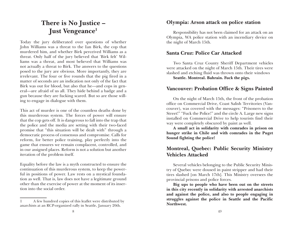## **There is No Justice – Just Vengeance1**

Today the jury deliberated over questions of whether John Williams was a threat to the Ian Birk, the cop that murdered him, and whether Birk perceived Williams as a threat. Only half of the jury believed that 'Birk felt' Williams was a threat, and most believed that Williams was not actually a threat to Birk. The answers to the questions posed to the jury are obvious. More importantly, they are irrelevant. The four or five rounds that the pig fired in a matter of seconds are an indication not only of the fact that Birk was out for blood, but also that he—and cops in general—are afraid of us all. They hide behind a badge and a gun because they are fucking scared. But so are those willing to engage in dialogue with them.

This act of murder is one of the countless deaths done by this murderous system. The forces of power will ensure that the cop gets off. It is dangerous to fall into the trap that the police and the media are setting with their two-faced promise that "this situation will be dealt with" through a democratic process of consensus and compromise. Calls for reform, for better police training, play perfectly into the game that ensures we remain complacent, controlled, and in our assigned places. Reform is not a solution but another iteration of the problem itself.

Equality before the law is a myth constructed to ensure the continuation of this murderous system, to keep the powerful in positions of power. Law rests on a mystical foundation as well. That is, law does not have a legitimate ground other than the exercise of power at the moment of its insertion into the social order.

### **Olympia: Arson attack on police station**

Responsibility has not been claimed for an attack on an Olympia, WA police station with an incendiary device on the night of March 15th.

### **Santa Cruz: Police Car Attacked**

Two Santa Cruz County Sheriff Department vehicles were attacked on the night of March 15th. Their tires were slashed and etching fluid was thrown onto their windows **Seattle. Montreal. Bahrain. Fuck the pigs.**

### **Vancouver: Probation Office & Signs Painted**

On the night of March 15th, the front of the probation office on Commercial Drive, Coast Salish Territories (Vancouver), was covered with the messages: "Prisoners to the Street!" "Fuck the Police!" and the circle A. Large new signs installed on Commercial Drive to help tourists find their way were completely obscured by paint as well.

**A small act in solidarity with comrades in prison on hunger strike in Chile and with comrades in the Puget Sound fighting the police!**

### **Montreal, Quebec: Public Security Ministry Vehicles Attacked**

Several vehicles belonging to the Public Security Ministry of Quebec were doused in paint stripper and had their tires slashed [on March 17th]. This Ministry oversees the provincial prisons and police forces.

**Big ups to people who have been out on the streets in this city recently in solidarity with arrested anarchists and against the police, and also to people engaging in struggles against the police in Seattle and the Pacific Northwest.**

<sup>1</sup> A few hundred copies of this leaflet were distributed by anarchists at an RCP-organized rally in Seattle, January 20th.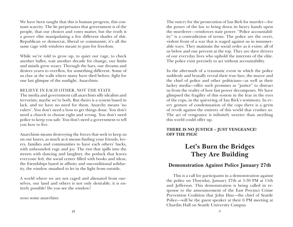We have been taught that this is human progress, this constant scarcity. The lie perpetuates that government is of the people, that our choices and votes matter, but the truth is a power elite manipulating a few different shades of shit. Republican or democrat, liberal or communist; it's all the same cage with windows meant to pass for freedom.

While we're told to grow up, to quiet our rage, to check another ballot, wait another decade for change, our limbs and minds grow weary. Through the bars, our dreams and desires yearn to overflow, for something different. Some of us claw at the walls where many have died before, fight for one last glimpse of the sunlight. Anarchists.

#### BELIEVE IN EACH OTHER, NOT THE STATE

The media and government call anarchists silly idealists and terrorists; maybe we're both. But theirs is a system based in lack, and we have no need for them. Anarchy means 'no rulers'. You don't need a boss to get things done. You don't need a church to choose right and wrong. You don't need police to keep you safe. You don't need a government to tell you how to live.

Anarchism means destroying the forces that seek to keep us on our knees, as much as it means finding your friends, lovers, families and communities to have each others' backs, with unbounded rage and joy. The riot that spills into the streets with dancing and laughter, the potluck that leaves everyone fed, the social center filled with books and ideas, the friendships based in affinity and unconditional solidarity, the window smashed to let in the light from outside.

A world where we are not caged and alienated from ourselves, our land and others is not only desirable; it is entirely possible! Do you see the window?

xoxo some anarchists

The outcry for the prosecution of Ian Birk for murder—for the power of the law to bring down its heavy hands upon the murderer—reinforces state power. "Police accountability" is a contradiction of terms. The police are the overt, violent front of a war that is waged against us in innumerable ways. They maintain the social order as it exists: all of us below and one percent at the top. They are slave drivers of our everyday lives who uphold the interests of the elite. The police exist precisely to act without accountability.

In the aftermath of a traumatic event in which the police suddenly and brutally reveal their true face, the mayor and the chief of police and other politicians—as well as their lackey media—offer such promises as "justice" to distract us from the reality of how fast power decomposes. We have glimpsed the fragility of this system in the fear in the eyes of the cops, in the quivering of Ian Birk's testimony. In every gesture of condemnation of the cops there is a germ of revolt against the entirety of this world that crushes us. The act of vengeance is infinitely sweeter than anything this world could offer up.

#### **THERE IS NO JUSTICE – JUST VENGEANCE! OFF THE PIGS!**

## **Let's Burn the Bridges They Are Building**

### **Demonstration Against Police January 27th**

This is a call for participants in a demonstration against the police on Thursday, January 27th at 5:30 PM at 11th and Jefferson. This demonstration is being called in response to the announcement of the East Precinct Crime Prevention Coalition that John Diaz—the chief of Seattle Police—will be the guest speaker at their 6 PM meeting at Chardin Hall on Seattle University Campus.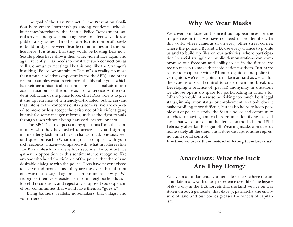The goal of the East Precinct Crime Prevention Coalition is to create "partnerships among residents, schools, businesses/merchants, the Seattle Police Department, social service and government agencies to effectively address public safety issues." In other words, this non-profit seeks to build bridges between Seattle communities and the police force. It is fitting that they would be hosting Diaz now: Seattle police have shown their true, violent face again and again recently. Diaz needs to construct such connections as well. Community meetings like this one, like the Stranger's insulting "Police Accountability Forum" (in reality, no more than a public relations opportunity for the SPD), and other recent examples exist to reinforce the liberal myth—which has neither a historical basis nor any clear analysis of our actual situation—of the police as a social service. As the resident politician of the police force, chief Diaz' role is to give it the appearance of a friendly-if-troubled public servant that listens to the concerns of its customers. We are expected to more or less accept the existence of his violent gang but ask for some meager reforms, such as the right to walk through town without being harassed, beaten, or shot.

The EPCPC also expects many questions from the community, who they have asked to arrive early and sign up in an orderly fashion to have a chance to ask one sixty second question each. (What can you accomplish with your sixty seconds, citizen—compared with what murderers like Ian Birk unleash in a mere four seconds.) In contrast, we gather in opposition to this sentiment; we recognize, like anyone who faced the violence of the police, that there is no desirable dialogue with the police. Cops have never existed to "serve and protect" us—they are the overt, brutal front of a war that is waged against us in innumerable ways. We recognize their very existence in our neighborhoods as a forceful occupation, and reject any supposed spokesperson of our communities that would have them as "guests."

Bring banners, leaflets, noisemakers, black flags, and your friends.

### **Why We Wear Masks**

We cover our faces and conceal our appearances for the simple reason that we have no need to be identified. In this world where cameras sit on every other street corner, where the police, FBI and CIA use every chance to profile us and to build up files on our activities, where participation in social struggle or public demonstrations can compromise our freedom and ability to act in the future, we see no reason to make their jobs easier for them. Just as we refuse to cooperate with FBI interrogations and police investigation, we're also going to make it as hard as we can for the systems of social control to crack down and break us. Developing a practice of (partial) anonymity in situations we choose opens up space for participating in actions for folks who would otherwise be risking too much be it legal status, immigration status, or employment. Not only does it make profiling more difficult, but it also helps to keep people out of police custody: the Seattle police and community snitches are having a much harder time identifying masked faces that were present at the demos on the 16th and 18h f February after Ian Birk got off. Wearing masks won't get us home safely all the time, but it does disrupt routine repression and social control.

**It is time we break them instead of letting them break us!**

## **Anarchists: What the Fuck Are They Doing?**

We live in a fundamentally untenable society, where the accumulation of wealth takes precedence over life. The legacy of *democracy* in the U.S. forgets that the land we live on was stolen through genocide; that slavery, patriarchy, the enclosure of land and our bodies greases the wheels of capitalism.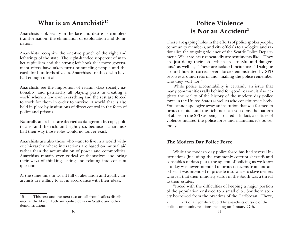### **What is an Anarchist?15**

Anarchists look reality in the face and desire its complete transformation: the elimination of exploitation and domination.

Anarchists recognize the one-two punch of the right and left wings of the state. The right-handed uppercut of market capitalism and the strong left hook that more government offers have taken turns pummeling people and the earth for hundreds of years. Anarchists are those who have had enough of it all.

Anarchists see the imposition of racism, class society, nationality, and patriarchy all playing parts in creating a world where a few own everything and the rest are forced to work for them in order to survive. A world that is also held in place by institutions of direct control in the form of police and prisons.

Naturally anarchists are decried as dangerous by cops, politicians, and the rich, and rightly so, because if anarchists had their way those roles would no longer exist.

Anarchists are also those who want to live in a world without hierarchy where interactions are based on mutual aid rather than the accumulation of power and commodities. Anarchists remain ever critical of themselves and bring their ways of thinking, acting and relating into constant question.

At the same time in world full of alienation and apathy anarchists are willing to act in accordance with their ideas.

## **Police Violence is Not an Accident2**

There are gaping holes in the efforts of police spokespeople, community members, and city officials to apologize and rationalize the ongoing violence of the Seattle Police Department. What we hear repeatedly are sentiments like, "They are just doing their jobs, which are stressful and dangerous," as well as, "These are isolated incidences." Dialogue around how to correct overt force demonstrated by SPD revolves around reform and "making the police remember who they work for."

While police accountability is certainly an issue that many communities rally behind for good reason, it also neglects the reality of the history of the modern day police force in the United States as well as who constitutes its body. You cannot apologize away an insitution that was formed to protect capital and the rich, nor can you deny the pattern of abuse in the SPD as being "isolated." In fact, a culture of violence intiated the police force and maintains it's power today.

#### **The Modern Day Police Force**

While the modern day police force has had several incarnations (including the commonly corrupt sherriffs and constables of days past), the system of policing as we know it today was never intended to protect citizens from one another: it was intended to provide insurance to slave owners who felt that their minority status in the South was a threat to their estates.

"Faced with the difficulties of keeping a major portion of the population enslaved to a small elite, Southern society borrowed from the practices of the Caribbean...There,

<sup>15</sup> This text and the next two are all from leaflets distributed at the March 15th anti-police demo in Seattle and other demonstrations.

<sup>2</sup> Text of a flyer distributed by anarchists outside of the police-community relations meeting on January 27th.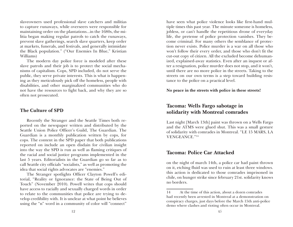slaveowners used professional slave catchers and militias to capture runaways, while overseers were responsible for maintaining order on the plantations...in the 1680s, the militia began making regular patrols to catch the runaways, prevent slave gatherings, search slave quarters, keep order at markets, funerals, and festivals, and generally intimidate the Black population." ("Our Enemies In Blue," Kristian Williams)

The modern day police force is modeled after these slave patrols and their job is to protect the social mechanisms of capitalism. Cops, SPD included, do not serve the public, they serve private interests. This is what is happening as they meticulously pick off the homeless, people with disabilities, and other marginalized communities who do not have the resources to fight back, and why they are so often not prosecuted.

#### **The Culture of SPD**

Recently the Stranger and the Seattle Times both reported on the newspaper written and distributed by the Seattle Union Police Officer's Guild, The Guardian. The Guardian is a monthly publication written by cops, for cops. The content in the SPD paper that both publications reported on include an open disdain for civilian insight into the way the SPD is run as well as flaming critiques of the racial and social justice programs implemented in the last 5 years. Editorialists in the Guardian go so far as to call Seattle city officials "socialists," as well as promoting the idea that social rights advocates are "enemies."

The Stranger spotlights Officer Clayton Powell's editorial, "Reality or Ignorance: the State of Being Out of Touch" (November 2010). Powell writes that cops should have access to racially and sexually charged words in order to relate to the communities that police are trying to develop credibility with. It is unclear at what point he believes using the "n" word in a community of color will "connect"

have seen what police violence looks like first-hand multiple times this past year. The minute someone is homeless, jobless, or can't handle the repetitious drone of everyday life, the pretense of police protection vanishes. They become criminal. For many others the semblance of protection never exists. Police murder is a war on all those who won't follow their every order, and those who don't fit the cut-out copy of citizen. All the excluded become dehumanized, explained-away statistics. Even after an inquest or after a resignation, police murder does not stop, and it won't, until there are no more police in the streets. Taking to the streets on our own terms is a step toward building resistance to the police on a practical level.

#### **No peace in the streets with police in these streets!**

### **Tacoma: Wells Fargo sabotage in solidarity with Montreal comrades**

Last night [March 13th] paint was thrown on a Wells Fargo and the ATMS were glued shut. This was a small gesture of solidarity with comrades in Montreal. "LE 15 MARS, LA VENGEANCE."14

#### **Tacoma: Police Car Attacked**

on the night of march 14th, a police car had paint thrown on it, etching fluid was used to ruin at least three windows. this action is dedicated to those comrades imprisoned in chile, on hunger strike since february 21st. solidarity knows no borders.

<sup>14</sup> At the time of this action, about a dozen comrades had recently been arrested in Montreal at a demonstration on conspiracy charges, just days before the March 15th anti-police demo where clashes and rioting often occur in Montreal.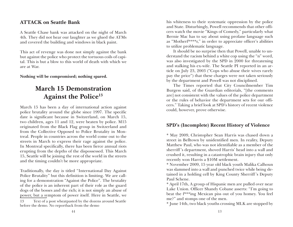### **ATTACK on Seattle Bank**

A Seattle Chase bank was attacked on the night of March 4th. They did not hear our laughter as we glued the ATMs and covered the building and windows in black paint.

This act of revenge was done not simply against the bank but against the police who protect the tortuous coils of capital. This is but a blow to this world of death with which we are at War.

**Nothing will be compromised; nothing spared.**

## **March 15 Demonstration Against the Police13**

March 15 has been a day of international action against police brutality around the globe since 1997. The specific date is significant because in Switzerland, on March 15, two children, ages 11 and 12, were beaten by police. M15 originated from the Black Flag group in Switzerland and from the Collective Opposed to Police Brutality in Montreal. People in countries across the world come out to the streets in March to express their rage against the police. In Montreal specifically, there has been fierce annual riots erupting from the depths of the dispossessed. This March 15, Seattle will be joining the rest of the world in the streets and the timing couldn't be more appropriate.

Traditionally, the day is titled "International Day Against Police Brutality" but this definition is limiting. We are calling for a demonstration "Against the Police". The brutality of the police is an inherent part of their role as the guard dogs of the bosses and the rich; it is not simply an abuse of power, but a symptom of power itself. Here in Seattle, we

13 Text of a post wheatpasted by the dozens around Seattle before the demo. No reportback from the demo

his whiteness to their systematic oppression by the police and State. Disturbingly, Powell recommends that other officers watch the movie "Kings of Comedy," particularly what Bernie Mac has to say about using profane language such as "Motherf\*\*\*\*r," in order to appreciate officer's abilities to utilize problematic language.

It should be no surprise then that Powell, unable to understand the racism behind a white cop using the "n" word, was also investigated by the SPD in 2000 for threatening and stalking his ex-wife. The Seattle PI reported in an article on July 23, 2003 ("Cops who abuse their wives rarely pay the price") that these charges were not taken seriously by the department and Powell was not disciplined.

The Times reported that City Councilmember Tim Burgess said, of the Guardian editorials, "[the comments are] not consistent with the values of the police department or the rules of behavior the department sets for our officers." Taking a brief look at SPD's history of recent violence could, however, prove otherwise.

### **SPD's (Incomplete) Recent History of Violence**

\* May 2009, Christopher Sean Harris was chased down a street in Belltown by unidentified men. In reality, Deputy Matthew Paul, who was not identifiable as a member of the sherriff 's department, shoved Harris' head into a wall and crushed it, resulting in a catastrophic brain injury that only recently won Harris a \$10M settlement.

\* November 2009, 15 year old black youth Malika Calhoun was slammed into a wall and punched twice while being detained in a holding cell by King County Sherriff 's Deputy Paul Schene.

\* April 17th, A group of Hispanic men are pulled over near Lake Union. Officer Shandy Cobane asserts: "I'm going to beat the f\*\*\*ing Mexican piss out of you homey. You feel me?" and stomps one of the men.

\* June 14th, two black youths crossing MLK are stopped by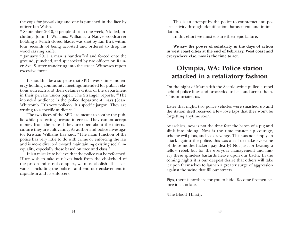the cops for jaywalking and one is punched in the face by officer Ian Walsh.

\* September 2010, 6 people shot in one week, 5 killed, including John T. Williams. Williams, a Native woodcarver holding a 3-inch closed blade, was shot by Ian Birk within four seconds of being accosted and ordered to drop his wood carving knife.

\* January 2011, a man is handcuffed and forced onto the ground, punched, and spit socked by two officers on Rainer Ave. S. after wandering into the street. Witnesses report excessive force

It shouldn't be a surprise that SPD invests time and energy holding community meetings intended for public relations outreach and then defames critics of the department in their private union paper. The Stranger reports, "'The intended audience is the police department,' says [Sean] Whitcomb. 'It's very police-y. It's specific jargon. They are writing to a specific audience.'"

The two faces of the SPD are meant to soothe the public while protecting private interests. They cannot accept money from the state if they are open about the internal culture they are cultivating. As author and police investigator Kristian Williams has said, "The main function of the police has very little to do with crime or enforcing the law and is more directed toward maintaining existing social inequality, especially those based on race and class."

It is a mistake to believe that the police can be reformed. If we wish to take our lives back from the chokehold of the prison industrial complex, we must abolish all its servants—including the police—and end our enslavement to capitalism and its enforcers.

This is an attempt by the police to counteract anti-police activity through identification, harassment, and intimidation.

In this effort we must ensure their epic failure.

**We saw the power of solidarity in the days of action in west coast cities at the end of February. West coast and everywhere else, now is the time to act.**

## **Olympia, WA: Police station attacked in a retaliatory fashion**

On the night of March 4th the Seattle swine pulled a rebel behind police lines and proceeded to beat and arrest them. This infuriated us.

Later that night, two police vehicles were smashed up and the station itself received a few love taps that they won't be forgetting anytime soon.

Anarchists, now is not the time fear the baton of a pig and slink into hiding. Now is the time muster up courage, scheme evil plots, and seek revenge. This was not simply an attack against the police, this was a call to make everyone of those motherfuckers pay dearly! Not just for beating a fellow rebel, but for the everyday management and misery these spineless bastards heave upon our backs. In the coming nights it is our deepest desire that others will take it upon themselves to launch a greater surge of aggression against the swine that fill our streets.

Pigs, there is nowhere for you to hide. Become firemen before it is too late.

-The Blood Thirsty.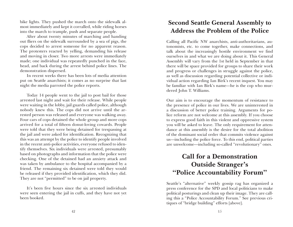bike lights. They pushed the march onto the sidewalk almost immediately and kept it corralled, while riding horses into the march to trample, push and separate people.

After about twenty minutes of marching and handing out fliers on the sidewalk surrounded by a sea of pigs, the cops decided to arrest someone for no apparent reason. The protesters reacted by yelling, demanding his release and moving in closer. Two more arrests were immediately made; one individual was repeatedly punched in the face, head, and back during the arrest behind police lines. The demonstration dispersed.

In recent weeks there has been lots of media attention put on Seattle anarchists; it comes as no surprise that last night the media parroted the police reports.

Today 14 people went to the jail to post bail for those arrested last night and wait for their release. While people were waiting in the lobby, jail guards called police, although nobody knew this. The cops did not arrive until the arrested person was released and everyone was walking away. Four cars of cops detained the whole group and more cops arrived for a total of fifteen donut-loving cowards. People were told that they were being detained for trespassing at the jail and were asked for identification. Recognizing that this was an attempt by the police to identify people involved in the recent anti-police activities, everyone refused to identify themselves. Six individuals were arrested, presumably based on photographs and information that the police were checking. One of the detained had an anxiety attack and was taken by ambulance to the hospital accompanied by a friend. The remaining six detained were told they would be released if they provided identification, which they did. They are not "permitted" to be on jail property.

It's been five hours since the six arrested individuals were seen entering the jail in cuffs, and they have not yet been booked.

### **Second Seattle General Assembly to Address the Problem of the Police**

Calling all Pacific NW anarchists, anti-authoritarians, autonomists, etc. to come together, make connections, and talk about the increasingly hostile environment we find ourselves in and what we are doing about it. This General Assembly will vary from the 1st held in September in that there will be space provided for groups to share their work and progress or challenges in struggle against the police, as well as discussion regarding potential collective or individual action regarding Ian Birk's recent inquest. You may be familiar with Ian Birk's name—he is the cop who murdered John T. Williams.

Our aim is to encourage the momentum of resistance to the presence of police in our lives. We are uninterested in a discussion of better police training. Arguments for police reform are not welcome at this assembly. If you choose to express good faith in this violent and oppressive system you will be asked to leave. The only requirement for attendance at this assembly is the desire for the total abolition of the dominant social order that commits violence against us—including the police force. To this end, political parties are unwelcome—including so-called "revolutionary" ones.

## **Call for a Demonstration Outside Stranger's "Police Accountability Forum"**

Seattle's "alternative" weekly gossip rag has organized a press conference for the SPD and local politicians to make political posturings and clean up their image. They are calling this a "Police Accountability Forum." See previous critiques of "bridge building" efforts [above].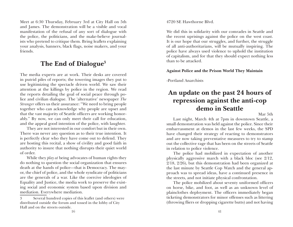Meet at 6:30 Thursday, February 3rd at City Hall on 5th and James. The demonstration will be a visible and vocal manifestation of the refusal of any sort of dialogue with the police, the politicians, and the make-believe journalists who pretend to critique them. Bring leaflets explaining your analysis, banners, black flags, noise makers, and your friends.

### **The End of Dialogue3**

The media experts are at work. Their desks are covered in putrid piles of reports; the towering images they put to use legitimizing the spectacle driven world. We saw their attention at the killings by police in the region. We read the reports detailing the goal of social peace through police and civilian dialogue. The 'alternative' newspaper *The Stranger* offers us their assurance: "We need to bring people together who can acknowledge why people are upset and that the vast majority of Seattle officers are working honorably." By now, we can only meet their call for education, and the appeal good intention of the police, with laughter.

They are not interested in our comfort but in their own. There was never any question as to their true intention. It is perfectly clear who they have come out to defend. They are hosting this recital, a show of civility and good faith in authority to insure that nothing disrupts their quiet world of order.

While they *play at* being advocates of human rights they do nothing to question the social organization that ensures death at the hands of police—that is Democracy. The mayor, the chief of police, and the whole syndicate of politicians are the generals of a war. Like the coercive ideologies of Equality and Justice, the media work to preserve the existing social and economic system based upon division and mediation. Everywhere mediation.

4720 SE Hawthorne Blvd.

We did this in solidarity with our comrades in Seattle and the recent uprisings against the police on the west coast. It is our hope that our struggles, and further, the struggle of all anti-authoritarians, will be mutually inspiring. The police have always used violence to uphold the institution of capitalism, and for that they should expect nothing less than to be attacked.

#### **Against Police and the Prison World They Maintain**

-Portland Anarchists

## **An update on the past 24 hours of repression against the anti-cop demo in Seattle**

Mar 5th

Last night, March 4th at 7pm in downtown Seattle, a small demonstration was held against the police. Since their embarrassment at demos in the last few weeks, the SPD have changed their strategy of reacting to demonstrators and are now taking preventative measures to try to stamp out the collective rage that has been on the streets of Seattle in relation to police violence.

The police had mobilized in expectation of another physically aggressive march with a black bloc (see 2/12, 2/18, 2/26), but this demonstration had been organized at the last minute by Seattle Cop Watch and the general approach was to spread ideas, have a continued presence in the streets, and not initiate physical confrontation.

The police mobilized about seventy uniformed officers on horse, bike, and foot, as well as an unknown level of plainclothes deployment. The officers immediately began ticketing demonstrators for minor offenses such as littering (throwing fliers or dropping cigarette butts) and not having

<sup>3</sup> Several hundred copies of this leaflet (and others) were distributed outside the forum and tossed in the lobby of City Hall and on the streets outside.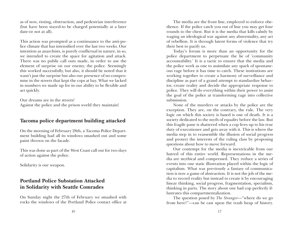as of now, rioting, obstruction, and pedestrian interference (but have been stayed-to be charged potentially at a later date-or not at all).

This action was prompted as a continuance to the anti-police climate that has intensified over the last two weeks. Our intention as anarchists, is purely conflictual in nature, in so, we intended to create the space for agitation and attack. There was no public call outs made, in order to use the element of surprise on our enemy, the police. Seemingly this worked successfully, but also, it should be noted that it wasn't just the surprise but also our presence of no compromise in the streets that kept the cops at bay. What we lacked in numbers we made up for in our ability to be flexible and act quickly.

Our dreams are in the streets! Against the police and the prison world they maintain!

### **Tacoma police department building attacked**

On the morning of February 28th, a Tacoma Police Department building had all its windows smashed out and some paint thrown on the facade.

This was done as part of the West Coast call out for two days of action against the police.

Solidarity is our weapon.

### **Portland Police Substation Attacked in Solidarity with Seattle Comrades**

On Sunday night the 27th of February we smashed with rocks the windows of the Portland Police contact office at

The media are the front line, employed to enforce obedience. If the police catch you out of line you may get four rounds to the chest. But it is the media that kills calmly by waging an ideological war against any abnormality, any act of rebellion. It is through latent forms of violence that try their best to pacify us.

Today's forum is more than an opportunity for the police department to perpetuate the lie of 'community accountability.' It is a tactic to ensure that the media and the police work as one to assimilate any spark of spontaneous rage before it has time to catch. These institutions are working together to create a harmony of surveillance and discipline as part of a grand attempt to standardize behavior, create reality and decide the appropriate response to police. They will do everything within their power to assist the goal of the police at transforming rage into collective submission.

None of the murders or attacks by the police are the exception. They are, on the contrary, the rule. The very logic on which this society is based is one of death. It is a society dedicated to the myth of equality before the law. But this fragile pane is shattered when a cop lives up to his true duty of executioner and gets away with it. This is where the media step in to reassemble the illusion of social progress and protect the interests of the ruling class by proposing questions about how to move forward.

Our contempt for the media is inextricable from our hatred of this entire world. Representations in the media are mythical and compressed. They reduce a series of events into one static illustration placed within the logic of capitalism. What was previously a fantasy of communication is now a game of abstraction. It is not the job of the media to record reality but instead to create it by encouraging linear thinking, social progress, fragmentation, specialism, thinking in parts. The story about one bad cop perfectly illustrates this compartmentalization.

The question posed by *The Stranger*—"where do we go from here?"—can be cast upon the trash heap of history.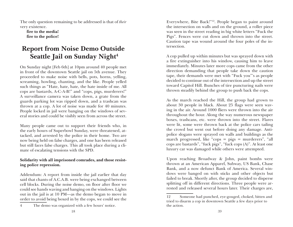The only question remaining to be addressed is that of *their* very existence.

**fire to the media! fire to the police!**

## **Report from Noise Demo Outside Seattle Jail on Sunday Night<sup>4</sup>**

On Sunday night [Feb 6th] at 10pm around 40 people met in front of the downtown Seattle jail on 5th avenue. They proceeded to make noise with bells, pots, horns, yelling, screaming, howling, chanting, and the like. People yelled such things as "Hate, hate, hate, the hate inside of me. All cops are bastards, A-C-A-B!" and "cops, pigs, murderers!" A surveillance camera was taken down, a grate from the guards parking lot was ripped down, and a trashcan was thrown at a cop. A lot of noise was made for 40 minutes. People locked in jail were banging on the windows of several stories and could be visibly seen from across the street.

Many people came out to support their friends who, in the early hours of Superbowl Sunday, were threatened, attacked, and arrested by the police in their home. Two are now being held on false charges, and one has been released but still faces false charges. This all took place during a climate of escalating tensions with the SPD.

#### **Solidarity with all imprisoned comrades, and those resisting police repression.**

Addendum: A report from inside the jail earlier that day said that chants of A.C.A.B. were being exchanged between cell blocks. During the noise demo, on floor after floor we could see hands waving and banging on the windows. Lights out in the jail is at 10 PM—as the demo began to move in order to avoid being boxed in by the cops, we could see the

4 The demo was organized with a few hours' notice.

Everywhere, Bite Back!"12. People began to paint around the intersection on walls and on the ground, a roller piece was seen in the street reading in big white letters "Fuck the Pigs". Fences were cut down and thrown into the street. Caution tape was wound around the four poles of the intersection.

A cop pulled up within minutes but was sprayed down with a fire extinguisher into his window, causing him to leave immediately. Minutes later more cops came from the other direction demanding that people take down the caution tape, their demands were met with "Fuck you"'s as people decided to continue out of the intersection and up the street toward Capitol Hill. Bunches of tire puncturing nails were thrown steadily behind the group to push back the cops.

As the march reached the Hill, the group had grown to about 30 people in black. About 25 flags were seen waving in the air. Around 1000 fliers were thrown into the air throughout the hour. Along the way numerous newspaper boxes, trashcans, etc. were thrown into the street. Flares were lit, some were thrown back at the police cars tailing the crowd but went out before doing any damage. Antipolice slogans were sprayed on walls and buildings as the march progressed, like "cops = pigs = murderers", "all cops are bastards", "fuck pigs", "fuck cops (A)". At least one luxury car was damaged while others were attempted.

Upon reaching Broadway & John, paint bombs were thrown at an American Apparel, Subway, US Bank, Chase Bank, and a now defunct Bank of America. Several windows were banged on with sticks and other objects but failed to break. Shortly after, the group decided to disperse splitting off in different directions. Three people were arrested and released several hours later. Their charges are,

<sup>12</sup> Someone had punched, eye-gouged, choked, bitten and tried to disarm a cop in downtown Seattle a few days prior to the action.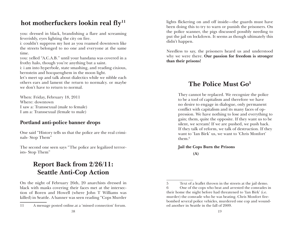## hot motherfuckers lookin real fly<sup>11</sup>

you: dressed in black, brandishing a flare and screaming feverishly, eyes lighting the city on fire.

i: couldn't suppress my lust as you roamed downtown like the streets belonged to no one and everyone at the same time.

you: yelled "A.C.A.B." until your bandana was covered in a frothy halo, though you're anything but a saint.

i: i am into hyperbole, state smashing, and reading cixious, bernstein and hocquenghem in the moon light.

let's meet up and talk about dialectics while we nibble each others ears and lament the return to normalcy. or maybe we don't have to return to normal.

When: Friday, February 18, 2011 Where: downtown I saw a: Transsexual (male to female) I am a: Transsexual (female to male)

### **Portland anti-police banner drops**

One said "History tells us that the police are the real criminals- Stop Them"

The second one seen says "The police are legalized terrorists- Stop Them"

## **Report Back from 2/26/11: Seattle Anti-Cop Action**

On the night of February 26th, 20 anarchists dressed in black with masks covering their faces met at the intersection of Boren and Howell (where John T Williams was killed) in Seattle. A banner was seen reading "Cops Murder

lights flickering on and off inside—the guards must have been doing this to try to warn or punish the prisoners. On the police scanner, the pigs discussed possibly needing to put the jail on lockdown. It seems as though ultimately this didn't happen.

Needless to say, the prisoners heard us and understood why we were there. **Our passion for freedom is stronger than their prisons!**

## **The Police Must Go5**

They cannot be replaced. We recognize the police to be a tool of capitalism and therefore we have no desire to engage in dialogue, only permanent conflict with capitalism and its many faces of oppression. We have nothing to lose and everything to gain; them, quite the opposite. If they want us to be silent, we scream! If we are pushed, we push back. If they talk of reform, we talk of destruction. If they want to 'Ian Birk' us, we want to 'Chris Monfort' them.6

#### **Jail the Cops Burn the Prisons**

 **(A)**

<sup>11</sup> A message posted online.at a 'missed connection' forum.

<sup>5</sup> Text of a leaflet thrown in the streets at the jail demo.

<sup>6</sup> One of the cops who beat and arrested the comrades in their home the night before had threatened to 'Ian Birk' (i.e. murder) the comrade who he was beating. Chris Monfort firebombed several police vehicles, murdered one cop and wounded another in Seattle in the fall of 2009.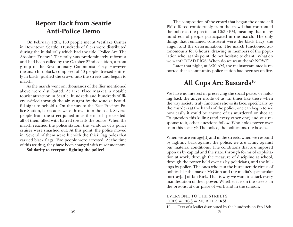### **Report Back from Seattle Anti-Police Demo**

On February 12th, 150 people met at Westlake Center in Downtown Seattle. Hundreds of fliers were distributed during the initial rally which had the title "Police Are The Absolute Enemy." The rally was predominately reformist and had been called by the October 22nd coalition, a front group of the Revolutionary Communist Party. However, the anarchist block, composed of 40 people dressed entirely in black, pushed the crowd into the streets and began to march.

As the march went on, thousands of the flier mentioned above were distributed. At Pike Place Market, a notable tourist attraction in Seattle, hundreds and hundreds of fliers swirled through the air, caught by the wind (a beautiful sight to behold!). On the way to the East Precinct Police Station, barricades were thrown into the road. Several people from the street joined in as the march proceeded, all of them filled with hatred towards the police. When the march reached the police station, the windows of a police cruiser were smashed out. At this point, the police moved in. Several of them were hit with the thick flag poles that carried black flags. Two people were arrested. At the time of this writing, they have been charged with misdemeanors.

**Solidarity to everyone fighting the police!**

The composition of the crowd that began the demo at 6 PM differed considerably from the crowd that confronted the police at the precinct at 10:30 PM, meaning that many hundreds of people participated in the march. The only things that remained consistent were the black flags, the anger, and the determination. The march functioned autonomously for 6 hours, drawing in members of the population who, at this point, do not hesitate to chant "What do we want? DEAD PIGS! When do we want them? NOW!"

Later that night, at 3:30 AM, the mainstream media reported that a community police station had been set on fire.

## **All Cops Are Bastards10**

We have no interest in preserving the social peace, or holding back the anger inside of us. In times like these when the way society truly functions shows its face, specifically by the murders at the hands of the police, one can begin to see how easily it could be anyone of us murdered or shot at. To question this killing (and every other one) and our response to it, other questions follow. Who holds power over us in this society? The police, the politicians, the bosses...

When we are enrage[d] and in the streets, when we respond by fighting back against the police, we are acting against our material conditions. The conditions that are imposed upon us by capital and the state, through forms of exploitation at work, through the measure of discipline at school, through the power held over us by politicians, and the killings by police. The ones who run the bureaucratic circus of politics like the mayor McGinn and the media's spectacular portray[al] of Ian Birk. That is why we want to attack every manifestation of their power. Whether it is on the streets, in the prisons, at our place of work and in the schools.

#### EVERYONE TO THE STREETS!  $COPS = PIGS = MURDERERS!$

<sup>10</sup> Text of a leaflet distributed by the hundreds on Feb 18th.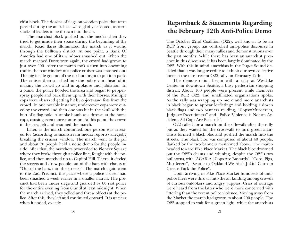chist block. The dozens of flags on wooden poles that were passed out by the anarchists were gladly accepted, as were stacks of leaflets to be thrown into the air.

The anarchist block pushed out the media when they tried to get inside their space during the beginning of the march. Road flares illuminated the march as it wound through the Belltown district. At one point, a Bank Of America had one of its windows smashed out. When the march reached Downtown again, the crowd had grown to just over 200. After the march took a turn into oncoming traffic, the rear window of a police cruiser was smashed out. The pig inside got out of the car but forgot to put it in park. The cruiser then smashed into the police van ahead of it, making the crowd go wild in applause and jubilation. In a panic, the police flooded the area and began to pepperspray people and back them up with their horses. Multiple cops were observed getting hit by objects and fists from the crowd. In one notable instance, undercover cops were outed by the crowd and then one was hit in the skull with the butt of a flag pole. A smoke bomb was thrown at the horse cops, causing even more confusion. At this point, the crowd in the area left and resumed the march.

Later, as the march continued, one person was arrested for (according to mainstream media reports) allegedly breaking the cruiser window. The march went to the jail and about 70 people held a noise demo for the people inside. After that, the marchers proceeded to Pioneer Square where they broke through a police line, fought with the police, and then marched up to Capitol Hill. There, it circled the streets and drew people out of the bars with chants of "Out of the bars, into the streets!". The march again went to the East Precinct, the place where a police cruiser had been smashed a week earlier in a smaller march. The precinct had been under siege and guarded by 60 riot police for the entire evening from 6 until at least midnight. When the march arrived, they yelled and threw objects at the police. After this, they left and continued onward. It is unclear when it ended, exactly.

### **Reportback & Statements Regarding the February 12th Anti-Police Demo**

The October 22nd Coalition (O22), well known to be an RCP front group, has controlled anti-police discourse in Seattle through their many rallies and demonstrations over the past months. While there has been an anarchist presence in this discourse, it has been largely dominated by the O22. With this in mind anarchists in the Puget Sound decided that it was long overdue to exhibit our own collective force at the most recent O22 rally on February 12th.

The demonstration began with a rally at Westlake Center in downtown Seattle, a busy pedestrian shopping district. About 100 people were present while members of the RCP, O22, and unaffiliated organizations spoke. As the rally was wrapping up more and more anarchists in black began to appear leafleting\* and holding a dozen black flags and two banners reading, "Cops=Murderers, Judges=Executioners" and "Police Violence is Not an Accident, All Cops Are Bastards".

O22 called for a march on the sidewalk after the rally but as they waited for the crosswalk to turn green anarchists formed a black bloc and pushed the march into the streets. The black bloc was composed of about 40 people, flanked by the two banners mentioned above. The march headed toward Pike Place Market. The black bloc drowned out the O22's chants and whining, despite the O22's two bullhorns, with "ACAB-All Cops Are Bastards", "Cops, Pigs, Murderers", "Seattle to Oakland-We Ain't Jokin'-Cairo to Greece-Fuck the Police".

Upon arriving in Pike Place Market hundreds of antipolice fliers were thrown into the air landing among crowds of curious onlookers and angry yuppies. Cries of outrage were heard from the latter who were more concerned with littering than the recent police violence. Moving away from the Market the march had grown to about 200 people. The O22 stopped to wait for a green light, while the anarchists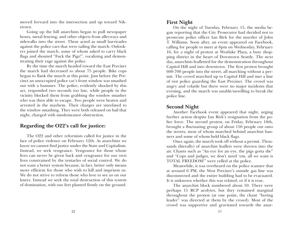moved forward into the intersection and up toward Niketown.

Going up the hill anarchists began to pull newspaper boxes, metal fencing, and other objects from alleyways and sidewalks into the street. These acted as small barricades against the police cars that were tailing the march. Onlookers joined the march, some of whom asked to carry black flags and shouted "Fuck the Pigs!", vocalizing and demonstrating their rage against the police.

By the time the march headed toward the East Precinct the march had decreased to about 75 people. Bike cops began to flank the march at this point. Just before the Precinct an unoccupied police car's front window was smashed out with a hammer. The police, evidently shocked by this act, responded two seconds too late, while people in the vicinity blocked them from grabbing the window smasher who was then able to escape. Two people were beaten and arrested in the mayhem. Their charges are unrelated to the window smashing. They were both released on bail that night, charged with misdemeanor obstruction.

### **Regarding the O22's call for justice:**

The O22 and other reformists called for justice in the face of police violence on February 12th. As anarchists we know we cannot find justice under the State and Capitalism. Instead, we seek vengeance. Vengeance for those whose lives can never be given back and vengeance for our own lives constrained by the tentacles of social control. We do not want a better system because, in fact, better only means more efficient for those who wish to kill and imprison us. We do not strive to reform those who love to see us on our knees. Instead we seek the total destruction of this system of domination, with our feet planted firmly on the ground.

#### **First Night**

On the night of Tuesday, February 15, the media began reporting that the City Prosecutor had decided not to prosecute police officer Ian Birk for the murder of John T. Williams. Soon after, an event appeared on Facebook, calling for people to meet at 6pm on Wednesday, February 16, for a night of protest at Westlake Plaza, a busy shopping district in the heart of Downtown Seattle. The next day, anarchists leafletted for the demonstration throughout Capitol Hill and into downtown. The first protest brought 600-700 people into the street, all marching without a permit. The crowd marched up to Capitol Hill and met a line of riot police guarding the East Precinct. The crowd was angry and volatile but there were no major incidents that evening, and the march was unable/unwilling to break the police line.

#### **Second Night**

Another Facebook event appeared that night, urging further action despite Ian Birk's resignation from the police force. The second protest, on Friday, February 18th, brought a fluctuating group of about 150 people out onto the streets, most of whom marched behind anarchist banners and some of whom held black flags.

Once again, the march took off without a permit. Thousands (literally) of anarchist leaflets were thrown into the air. Chants such as "An eye for an eye, the pigs gotta die" and "Cops and judges, we don't need 'em, all we want is TOTAL FREEDOM!" were yelled at the police.

Meanwhile, it was overheard on the police scanner that at around 6 PM, the West Precinct's outside gas line was disconnected and the entire building had to be evacuated. It is unknown whether this was related, or if it is true.

The anarchist block numbered about 50. There were perhaps 15 RCP acolytes, but they remained marginal throughout the protest (at one point, the chant "boring leader" was directed at them by the crowd). Most of the crowd was supportive and gravitated towards the anar-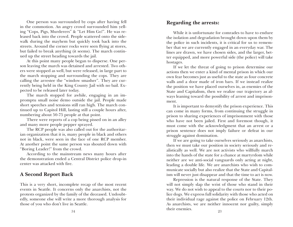One person was surrounded by cops after having fell in the commotion. An angry crowd surrounded him yelling "Cops, Pigs, Murderers" & "Let Him Go!". He was released back into the crowd. People scattered onto the sidewalk during the mayhem but quickly took back into the streets. Around the corner rocks were seen flying at stores, but failed to break anything (it seems). The march continued up the street heading towards the jail.

At this point many people began to disperse. One person leaving the march was detained and arrested. Two others were stopped as well, but were released, in large part to the march stopping and surrounding the cops. They are calling the arrestee the "window smasher". They are currently being held in the King County Jail with no bail. Expected to be released later today.

The march stopped for awhile, engaging in an impromptu small noise demo outside the jail. People made short speeches and tensions still ran high. The march continued up to Capitol Hill, lasting still a couple hours after, numbering about 50-75 people at that point.

There were reports of a cop being pissed on in an alley and many more people pepper sprayed.

The RCP people was also called out for the authoritarian organization that it is, many people in black and others not in black, were seen in the face of one RCP member. At another point the same person was shouted down with "Boring Leader!" from the crowd.

According to the mainstream news many hours after the demonstration ended a Central District police drop-in center was attacked with fire.

### **A Second Report Back**

This is a very short, incomplete recap of the most recent events in Seattle. It concerns only the anarchists, not the protests organized by the family of the deceased. Undoubtedly, someone else will write a more thorough analysis for those of you who don't live in Seattle.

### **Regarding the arrests:**

While it is unfortunate for comrades to have to endure the isolation and degradation brought down upon them by the police in such incidents, it is critical for us to remember that we are currently engaged in an everyday war. The lines are drawn, we have chosen sides, and the larger, better equipped, and more powerful side (the police) will take hostages.

If we let the threat of going to prison determine our actions then we enter a kind of mental prison in which our own fear becomes just as useful to the state as four concrete walls and a door made of iron bars. If we instead realize the position we have placed ourselves in, as enemies of the State and Capitalism, then we realize our trajectory as always leaning toward the possibility of arrest and imprisonment.

It is important to demystify the prison experience. This can come in many forms, from continuing the struggle in prison to sharing experiences of imprisonment with those who have not been jailed. First and foremost though, it must come with the acknowledgment that an arrest or a prison sentence does not imply failure or defeat in our struggle against domination.

If we are going to take ourselves seriously as anarchists, then we must take our position in society seriously and realistically as well. We are not activists who willfully march into the hands of the state for a chance at martyrdom while neither are we anti-social vanguards only acting at night, leading a double life. We are anarchists who wish to communicate socially but also realize that the State and Capitalism will never just disappear and that the time to act is now.

Repression is the natural response of the State. They will not simply slap the wrist of those who stand in their way. We do not wish to appeal to the courts nor to their police dogs. We express full solidarity with those who acted on their individual rage against the police on February 12th. As anarchists, we are neither innocent nor guilty, simply their enemies.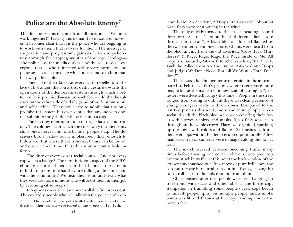### **Police are the Absolute Enemy7**

The demand seems to come from all directions: "We must work together!" Tracing this demand to its source, however, it becomes clear that it is the police who are begging us to work with them, that is to say for them. The message of cooperation and progress only gains its fictive everywhereness through the yapping mouths of the cops' lapdogs— -the politicians, the media outlets, and the well-to-do—-everyone, that is, who is infected with dreary normality and possesses a seat at the table which means more to him than his own pathetic life.

They fall to their knees at every act of rebellion. In the face of hot anger, the con artists deftly gesture towards the open doors of the democratic system through which a better world is promised!—-an unreachable world that lies always on the other side of a daily grind of work, submission, and self-sacrifice. They don't care to admit that the only promise this system has ever kept is that anyone who does not submit to the grinder will be cast into a cage.

The lies they offer up to calm our rage have all but run out. The coldness with which the cops carry out their duty chills one's nerves and, one by one, people snap. The deceivers busily bellow out a smokescreen thick enough to hide a war. But where there is smoke, flames can be found, and even in these times there burns an uncontrollable inferno.

The duty of every cop is social control. And not every cop wears a badge.2 The most insidious aspect of the SPD's effort to clean the blood from their hands is the attempt to find 'solutions' to what they are calling a 'disconnection with the community.' We hear them loud and clear: what they seek are more minions who will assist them in their job by becoming citizen-cops.<sup>3</sup>

It happens every time an uncontrollable fire breaks out. The cowardly people who will talk with the police and work lence is Not An Accident, All Cops Are Bastards". About 30 black flags were seen waving in the wind.

The rally quickly turned to the streets heading around downtown Seattle. Thousands of different fliers were thrown into the air\*. A black bloc was formed flanked by the two banners mentioned above. Chants were heard from the bloc ranging from the old favorites, "Cops, Pigs, Murderers" & Rage, Rage, Rage, the Rage inside of Me, All Cops Are Bastards, A-C-A-B" to others such as, "FTP, Fuck, Fuck the Police, Cops Are the Enemy, A-C-A-B" and "Cops and Judges We Don't Need 'Em, All We Want is Total Freedom!".

There was a heightened sense of tension in the air compared to February 16th's protest, where there were more people but as the mainstream news said of last night, "protesters were decidedly angry this time". People in the street ranged from young to old, but there was clear presence of young teenagers ready to throw down. Compared to the last two protests this week, more and more people, unassociated with the black bloc, were seen covering their faces with scarves, t-shirts, and masks. Black flags were seen throughout the whole crowd. Flares were ignited, sparking up the night with colors and flames. Skirmishes with undercover cops within the demo erupted periodically. A few mainstream news cameras were damaged along the way as well.

The march weaved between oncoming traffic many times before turning one corner where an occupied cop car was stuck in traffic; at this point the back window of the cruiser was smashed out. In a move of pure brilliance, the cop put the car in neutral, ran out in a frenzy, leaving his car to roll flat into the police van in front of him.

Chaos ensued after this, people were seen banging on storefronts with sticks and other objects, the horse cops stampeded in trampling some people's feet, cops began to unleash pepper spray on multiple people, and a smoke bomb was lit and thrown at the cops landing under the horse's feet.

<sup>7</sup> Thousands of copies of a leaflet with this text (and hundreds of other leaflets) were tossed in the streets on Feb 12th.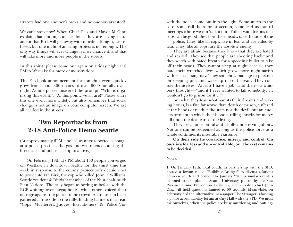strators had one another's backs and no one was arrested!

We can't stop now! When Chief Diaz and Mayor McGinn explain that nothing can be done, they are asking us to accept that Birk will get away with murder. Tonight, we refused, but one night of amazing protest is not enough. The only way things will ever change is if we change it, and that will take more and more people in the streets.

In this spirit, please come out again on Friday night at 6 PM to Westlake for more demonstrations.

The Facebook announcement for tonight's event quickly grew from about 300 invites to over 6000 literally overnight. As one poster answered the prompt, "Who is organizing this event,": "At this point, we all are!" Please share this one even more widely, but also remember that social change is not an image on your computer screen. We are all needed in the streets!

### **Two Reportbacks from 2/18 Anti-Police Demo Seattle**

(At approximately 6PM a police scanner reported sabotage at a police precinct, the gas line was opened causing the firetrucks and police backup to arrive.)

On February 18th at 6PM about 150 people converged on Westlake in downtown Seattle for the third time this week in response to the county prosecutor's decision not to prosecute Ian Birk, the cop who killed John T Williams, Seattle resident & Ditidaht member of the Nuu-chah-nulth First Nations. The rally began as boring as before with the RCP whining over megaphones, while others voiced their outrage against the police to the crowd. Anarchists in black gathered at the side to the rally, holding banners that read "Cops=Murderers, Judges=Executioners" & "Police Vio-

with the police come out into the light. Some snitch to the cops, some call them for protection, some lead us toward meetings where we can 'talk it out.' Full of vain dreams that cops can be good, they bow their heads, take the side of the

police. They, like all cops, live in fear and are ruled by fear. They, like all cops, are the absolute enemy.

They are afraid because they know that they are hated and reviled. They see that people are shooting back,<sup>4</sup> and they watch with bated breath for a speeding bullet to take off their heads. They cannot sleep at night because they hate their wretched lives which grow more nightmarish with each passing day. They somehow manage to pass out on sleeping pills and wake up in cold sweats. They console themselves, "At least I have a job," and then-—a whispery thought-—"and if I ever wanted to kill somebody… I wouldn't go to prison for it…"5

But what they fear, what haunts their dreams and waking hours, is a fate far worse than death or prison, suffered at the hands of neither the state nor the devil, but an endless torment in which their bloodcurdling shrieks for mercy fall upon the deaf ears of the living.

They are at once pitiful and wholly undeserving of pity. Not one can be redeemed as long as the police force as a whole continues its miserable existence.

**On their side lie cowardice, misery, and control. On ours is a fearless and uncontrollable joy. The rest remains to be decided.**

#### Notes:

1. On January 12th, local youth, in partnership with the SPD, hosted a forum called "Building Bridges" to discuss relations between youth and police. On January 27th, a similar event is planned to take place at Seattle University, put on by the East Precinct Crime Prevention Coalition, where police chief John Diaz will field questions limited to 60 seconds. Meanwhile, on February 3rd the 'alternative' newspaper The Stranger is hosting a police accountability forum at City Hall with the SPD. We must ask ourselves, when the police are busy murdering and putting-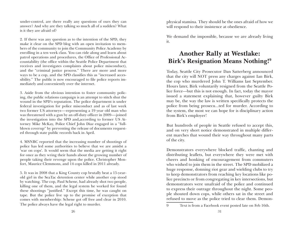under-control, are there really any questions of ours they can answer? And why are they talking so much all of a sudden? What is it they are afraid of?

2. If there was any question as to the intention of the SPD, they make it clear on the SPD blog with an open invitation to members of the community to join the Community Police Academy by enrolling in a ten week class. You can ride along and learn about patrol operations and procedures, the Office of Professional Accountability (the office within the Seattle Police Department that receives and investigates complaints about police misconduct), and the "criminal justice process." There are more and more ways to be a cop, and the SPD classifies this as "increased accessibility." The public is now encouraged to file police reports immediately and conveniently over the internet.

3. Aside from the obvious intention to foster community policing, the public relations campaign is an attempt to stitch shut the wound in the SPD's reputation. The police department is under federal investigation for police misconduct and as of last week two former US attorneys—-representing a 19 year old man who was threatened with a gun by an off-duty officer in 2009—-joined the investigation into the SPD and,according to former US Attorney Mike McKay, Police Chief John Diaz engaged in a "fullblown coverup" by preventing the release of documents requested through state public records back in April.

4. MSNBC reported that the increasing number of shootings of police has led some authorities to believe that we are amidst a 'war on cops'. It would seem that the media are getting it right for once as they wring their hands about the growing number of people taking their revenge upon the police. Christopher Monfort, Maurice Clemmons, and 14 cops killed in 2011 already.

5. It was in 2008 that a King County cop brutally beat a 15-yearold girl in the SeaTac detention center while another cop stood by watching. The cop, Paul Schene, had already shot two people, killing one of them, and the legal system he worked for found these shootings "justified." Except this time, he was caught on tape. But the police live up to the promise of exception that comes with membership: Schene got off free and clear in 2010. The police always have the legal right to murder.

physical stamina. They should be the ones afraid of how we will respond to their insistence at obedience.

We demand the impossible, because we are already living it.

## **Another Rally at Westlake: Birk's Resignation Means Nothing!9**

Today, Seattle City Prosecutor Dan Satterberg announced that the city will NOT press any charges against Ian Birk, the cop who murdered John T. Williams last September. Hours later, Birk voluntarily resigned from the Seattle Police force—but this is not enough. In fact, today the mayor issued a statement explaining that, however guilty Birk may be, the way the law is written specifically protects the police from being prosecu...ted for murder. According to the system, the most we can hope for is disciplinary action from Birk's employer!

But hundreds of people in Seattle refused to accept this, and on very short notice demonstrated in multiple different marches that wound their way throughout many parts of the city.

Demonstrators everywhere blocked traffic, chanting and distributing leaflets, but everywhere they were met with cheers and honking of encouragement from commuters who wished to join them in the street. The SPD mobilized a huge response, donning riot gear and wielding clubs to try to keep demonstrators from reaching key locations like police precincts or from congregating in key intersections, but demonstrators were unafraid of the police and continued to express their outrage throughout the night. Some people shouted down cops, while others sat in the street and refused to move as the police tried to clear them. Demon-

<sup>9</sup> Text is from a Facebook event posted late on Feb 16th.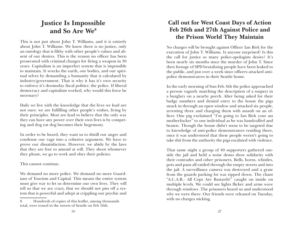## **Justice Is Impossible and So Are We8**

This is not just about John T. Williams, and it is entirely about John T. Williams. We know there is no justice, only an ontology that is filthy with other people's values and absent of our desires. This is the reason no officer has been prosecuted with criminal charges for firing a weapon in 30 years. Capitalism is an imperfect system that is impossible to maintain. It wrecks the earth, our bodies, and our spiritual selves by demanding a humanity that is calculated by industry/government. That is why it has it's own security to enforce it's doomsday fiscal politics: the police. If liberal democracy and capitalism worked, why would this force be necessary?

Daily we live with the knowledge that the lives we lead are not ours: we are fulfilling other people's wishes, living by their principles. Most are lead to believe that the only way they can have any power over their own lives is by competing and dog eat dog becomes their hegemony.

In order to be heard, they want us to distill our anger and condense our rage into a cohesive argument. We have to prove our dissatisfaction. However, we abide by the laws that they are free to amend at will. They shoot whomever they please, we go to work and obey their policies.

#### This cannot continue.

We demand no more police. We demand no more Guardians of Tourism and Capital. This means the entire system must give way to let us determine our own lives. They will tell us that we are crazy, that we should not piss off a system that is powerful and adept at crippling our psychic and

### **Call out for West Coast Days of Action Feb 26th and 27th Against Police and the Prison World They Maintain**

No charges will be brought against Officer Ian Birk for the execution of John T. Williams. Is anyone surprised? Is this the call for justice so many police-apologists desire? It's been nearly six months since the murder of John T. Since then footage of SPD brutalizing people have been leaked to the public, and just over a week since officers attacked antipolice demonstrators in their Seattle home.

In the early morning of Sun Feb. 6th the police approached a person vaguely matching the description of a suspect in a burglary on a nearby porch. After being asked for their badge numbers and denied entry to the house the pigs snuck in through an open window and attacked six people, arresting three and charging them with assault on an officer. One pig exclaimed "I'm going to Ian Birk your ass motherfucker" to one individual as he was handcuffed and beaten. Though the house didn't seem to be targeted due to knowledge of anti-police demonstrators residing there, once it was understood that these people weren't going to take shit from the authority the pigs escalated with violence.

That same night a group of 40 supporters gathered outside the jail and held a noise demo show solidarity with their comrades and other prisoners. Bells, horns, whistles, pots and pans all rattled through the empty streets and into the jail. A surveillance camera was destroyed and a grate from the guards parking lot was ripped down. The chant "A.C.A.B.- All Cops Are Bastards!" caught on inside on multiple levels. We could see lights flicker and arms wave through windows .The prisoners heard us and understood why we were there. Our friends were released on Tuesday, with no charges sticking.

<sup>8</sup> Hundreds of copies of this leaflet, among thousands total, were tossed in the streets of Seattle on Feb 16th.